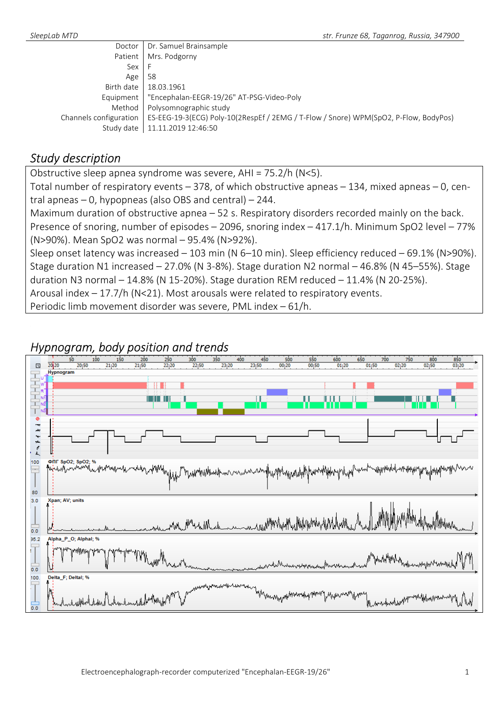| Doctor                 | Dr. Samuel Brainsample                                                               |
|------------------------|--------------------------------------------------------------------------------------|
| Patient                | Mrs. Podgorny                                                                        |
| Sex I                  |                                                                                      |
| Age                    | 58                                                                                   |
| Birth date             | 18.03.1961                                                                           |
| Equipment              | "Encephalan-EEGR-19/26" AT-PSG-Video-Poly                                            |
| Method                 | Polysomnographic study                                                               |
| Channels configuration | ES-EEG-19-3(ECG) Poly-10(2RespEf / 2EMG / T-Flow / Snore) WPM(SpO2, P-Flow, BodyPos) |
| Study date             | 11.11.2019 12:46:50                                                                  |
|                        |                                                                                      |

#### *Study description*

Obstructive sleep apnea syndrome was severe, AHI = 75.2/h (N<5).

Total number of respiratory events – 378, of which obstructive apneas – 134, mixed apneas – 0, central apneas – 0, hypopneas (also OBS and central) – 244.

Maximum duration of obstructive apnea – 52 s. Respiratory disorders recorded mainly on the back. Presence of snoring, number of episodes – 2096, snoring index – 417.1/h. Minimum SpO2 level – 77% (N>90%). Mean SpO2 was normal – 95.4% (N>92%).

Sleep onset latency was increased – 103 min (N 6–10 min). Sleep efficiency reduced – 69.1% (N>90%). Stage duration N1 increased – 27.0% (N 3-8%). Stage duration N2 normal – 46.8% (N 45–55%). Stage duration N3 normal  $-14.8\%$  (N 15-20%). Stage duration REM reduced  $-11.4\%$  (N 20-25%).

Arousal index – 17.7/h (N<21). Most arousals were related to respiratory events.

Periodic limb movement disorder was severe, PML index – 61/h.

## *Hypnogram, body position and trends*

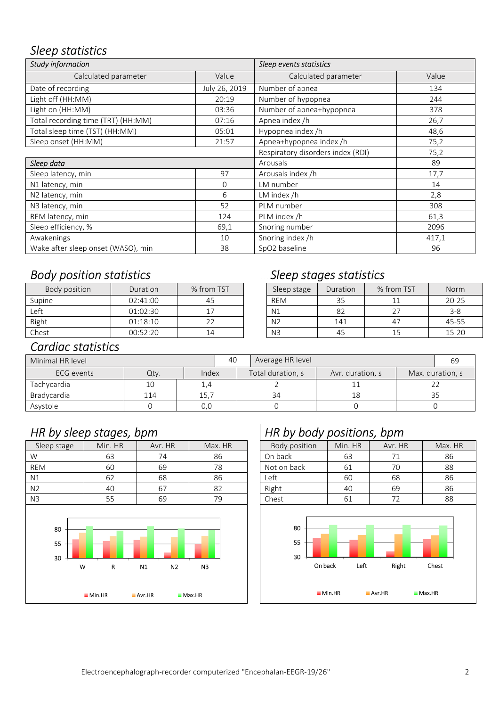### *Sleep statistics*

| Study information                  |               | Sleep events statistics           |       |  |  |
|------------------------------------|---------------|-----------------------------------|-------|--|--|
| Calculated parameter               | Value         | Calculated parameter              | Value |  |  |
| Date of recording                  | July 26, 2019 | Number of apnea                   | 134   |  |  |
| Light off (HH:MM)                  | 20:19         | Number of hypopnea                | 244   |  |  |
| Light on (HH:MM)                   | 03:36         | Number of apnea+hypopnea          | 378   |  |  |
| Total recording time (TRT) (HH:MM) | 07:16         | Apnea index /h                    | 26,7  |  |  |
| Total sleep time (TST) (HH:MM)     | 05:01         | Hypopnea index /h                 | 48,6  |  |  |
| Sleep onset (HH:MM)                | 21:57         | Apnea+hypopnea index /h           | 75,2  |  |  |
|                                    |               | Respiratory disorders index (RDI) | 75,2  |  |  |
| Sleep data                         |               | Arousals                          | 89    |  |  |
| Sleep latency, min                 | 97            | Arousals index /h                 | 17,7  |  |  |
| N1 latency, min                    | $\mathbf 0$   | LM number                         | 14    |  |  |
| N2 latency, min                    | 6             | LM index /h                       | 2,8   |  |  |
| N3 latency, min                    | 52            | PLM number                        | 308   |  |  |
| REM latency, min                   | 124           | PLM index /h                      | 61,3  |  |  |
| Sleep efficiency, %                | 69,1          | Snoring number                    | 2096  |  |  |
| Awakenings                         | 10            | Snoring index /h                  | 417,1 |  |  |
| Wake after sleep onset (WASO), min | 38            | SpO2 baseline                     | 96    |  |  |

| Body position | Duration | % from TST | Sleep stage    | Duration | % from TST | Norm      |
|---------------|----------|------------|----------------|----------|------------|-----------|
| Supine        | 02:41:00 |            | <b>REM</b>     | 35       |            | $20 - 25$ |
| Left          | 01:02:30 |            | N1             | 82       |            | $3 - 8$   |
| Right         | 01:18:10 |            | N <sub>2</sub> | 141      | $4^-$      | 45-55     |
| Chest         | 00:52:20 | 14         | N <sub>3</sub> | 45       |            | $15 - 20$ |

# *Body position statistics Sleep stages statistics*

| Body position | Duration | % from TST | Sleep stage    | Duration | % from TST | Norm      |
|---------------|----------|------------|----------------|----------|------------|-----------|
| ne            | 02:41:00 | 45         | <b>REM</b>     | 35       | ᆠᅶ         | $20 - 25$ |
|               | 01:02:30 |            | N1             | 82       | 27         | $3 - 8$   |
|               | 01:18:10 | าา         | N <sub>2</sub> | 141      | 47         | 45-55     |
|               | 00:52:20 | 14         | N <sub>3</sub> | 45       | 15         | $15 - 20$ |

# *Cardiac statistics*

| Minimal HR level |      | 40        |                   | Average HR level |                  | 69               |
|------------------|------|-----------|-------------------|------------------|------------------|------------------|
| ECG events       | Qty. | Index     | Total duration, s |                  | Avr. duration, s | Max. duration, s |
| Tachycardia      | 10   | $\pm 0.4$ |                   |                  |                  |                  |
| Bradycardia      | 114  | 15.7      |                   | 34               |                  |                  |
| Asystole         |      | 0,0       |                   |                  |                  |                  |

## *HR by sleep stages, bpm*

|                     |                            |                                               |                          | . .                       |                |                     |                 |
|---------------------|----------------------------|-----------------------------------------------|--------------------------|---------------------------|----------------|---------------------|-----------------|
| Sleep stage         | Min. HR                    | Avr. HR                                       | Max. HR                  | Body position             | Min. HR        | Avr. HR             | Max. HR         |
| W                   | 63                         | 74                                            | 86                       | On back                   | 63             | 71                  | 86              |
| <b>REM</b>          | 60                         | 69                                            | 78                       | Not on back               | 61             | 70                  | 88              |
| N1                  | 62                         | 68                                            | 86                       | Left                      | 60             | 68                  | 86              |
| N <sub>2</sub>      | 40                         | 67                                            | 82                       | Right                     | 40             | 69                  | 86              |
| N <sub>3</sub>      | 55                         | 69                                            | 79                       | Chest                     | 61             | 72                  | 88              |
| 80<br>55<br>30<br>W | R<br>$\blacksquare$ Min.HR | N1<br>N <sub>2</sub><br>$\blacksquare$ Avr.HR | N <sub>3</sub><br>Max.HR | 80<br>55<br>30<br>On back | Left<br>Min.HR | Right<br>$M$ Avr.HR | Chest<br>Max.HR |

# *HR by body positions, bpm*

| Body position | Min. HR | Avr. HR | Max. HR |
|---------------|---------|---------|---------|
| On back       | 63      | 71      | 86      |
| Not on back   | 61      | 70      | 88      |
| Left          | 60      | 68      | 86      |
| Right         | 40      | 69      | 86      |
| Chest         | 61      | 72      | 88      |
|               |         |         |         |

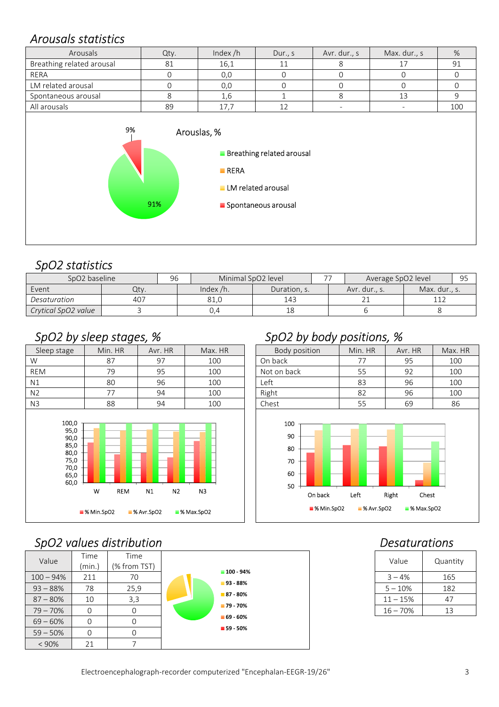#### *Arousals statistics*

| Arousals                  | Qty.         | Index $/h$                                              | Dur., s                                                 | Avr. dur., s             | Max. dur., s             | %           |
|---------------------------|--------------|---------------------------------------------------------|---------------------------------------------------------|--------------------------|--------------------------|-------------|
| Breathing related arousal | 81           | 16,1                                                    | 11                                                      | 8                        | 17                       | 91          |
| RERA                      | 0            | 0,0                                                     | $\Omega$                                                | $\mathbf 0$              | $\overline{0}$           | $\mathbf 0$ |
| LM related arousal        | $\mathbf{0}$ | 0,0                                                     | $\mathbf 0$                                             | $\mathbf 0$              | $\mathbf 0$              | $\mathbf 0$ |
| Spontaneous arousal       | 8            | 1,6                                                     | $\mathbf{1}$                                            | 8                        | 13                       | 9           |
| All arousals              | 89           | 17,7                                                    | 12                                                      | $\overline{\phantom{a}}$ | $\overline{\phantom{a}}$ | 100         |
| 9%                        | 91%          | Arouslas, %<br><b>RERA</b><br><b>LM</b> related arousal | <b>Breathing related arousal</b><br>Spontaneous arousal |                          |                          |             |

#### *SpO2 statistics*

| SpO2 baseline       |      | 96 | Minimal SpO2 level           |     | Average SpO2 level |               |               | 95 |
|---------------------|------|----|------------------------------|-----|--------------------|---------------|---------------|----|
| Event               | Qtv. |    | Duration, s.<br>Index $/h$ . |     |                    | Avr. dur., s. | Max. dur., s. |    |
| Desaturation        | 407  |    | 81.0                         | 143 |                    |               |               |    |
| Crytical SpO2 value |      |    | J.4                          |     |                    |               |               |    |

## *SpO2 by sleep stages, %*

| Sleep stage                                                           | Min. HR                         | Avr. HR                                           | Max. HR                       |                             | Body position                 | Min. HR                           | Avr. HR                        | Max. H |
|-----------------------------------------------------------------------|---------------------------------|---------------------------------------------------|-------------------------------|-----------------------------|-------------------------------|-----------------------------------|--------------------------------|--------|
| W                                                                     | 87                              | 97                                                | 100                           | On back                     |                               | 77                                | 95                             | 100    |
| REM                                                                   | 79                              | 95                                                | 100                           | Not on back                 |                               | 55                                | 92                             | 100    |
| N1                                                                    | 80                              | 96                                                | 100                           | Left                        |                               | 83                                | 96                             | 100    |
| N <sub>2</sub>                                                        | 77                              | 94                                                | 100                           | Right                       |                               | 82                                | 96                             | 100    |
| N <sub>3</sub>                                                        | 88                              | 94                                                | 100                           | Chest                       |                               | 55                                | 69                             | 86     |
| 100,0<br>95,0<br>90,0<br>85,0<br>80,0<br>75,0<br>70,0<br>65,0<br>60,0 | W<br><b>REM</b><br>■ % Min.SpO2 | N <sub>2</sub><br>N1<br>$\blacksquare$ % Avr.SpO2 | N <sub>3</sub><br>■% Max.SpO2 | 100<br>90<br>80<br>70<br>60 | 50<br>On back<br>■ % Min.SpO2 | Left<br>$\blacksquare$ % Avr.SpO2 | Chest<br>Right<br>■ % Max.SpO2 |        |

## *SpO2 values distribution Desaturations*

| Value       | Time<br>(min.) | Time<br>(% from TST) |                           | Value      | Quantity |
|-------------|----------------|----------------------|---------------------------|------------|----------|
| $100 - 94%$ | 211            | 70                   | $100 - 94%$               | $3 - 4%$   | 165      |
| $93 - 88%$  | 78             | 25,9                 | 93 - 88%                  | $5 - 10%$  | 182      |
| $87 - 80%$  | 10             | 3,3                  | <b>87 - 80%</b>           | $11 - 15%$ | 47       |
| $79 - 70%$  | 0              | $\mathbf 0$          | ■ 79 - 70%<br>$-69 - 60%$ | $16 - 70%$ | 13       |
| $69 - 60%$  | 0              | 0                    |                           |            |          |
| $59 - 50\%$ | 0              | 0                    | $59 - 50%$                |            |          |
| $< 90\%$    | 21             |                      |                           |            |          |

# *SpO2 by body positions, %*

| Sleep stage | Min. HR | Avr. HR | Max. HR | Body position | Min. HR | Avr. HR | Max. HR |
|-------------|---------|---------|---------|---------------|---------|---------|---------|
|             | 87      | 97      | 100     | On back       |         | 95      | 100     |
| ΞM          | 79      | 95      | 100     | Not on back   | 55      | 92      | 100     |
|             | 80      | 96      | 100     | Left          | 83      | 96      | 100     |
|             | 77      | 94      | 100     | Right         | 82      | 96      | 100     |
|             | 88      | 94      | 100     | Chest         | 55      | 69      | 86      |
|             |         |         |         |               |         |         |         |



| Value      | Quantity |  |  |  |
|------------|----------|--|--|--|
| $3 - 4%$   | 165      |  |  |  |
| $5 - 10%$  | 182      |  |  |  |
| $11 - 15%$ | 47       |  |  |  |
| $16 - 70%$ | 13       |  |  |  |